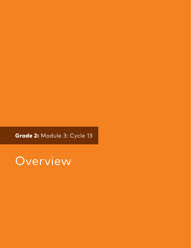Grade 2: Module 3: Cycle 13

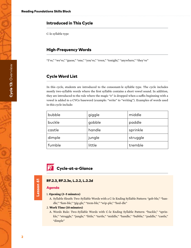# Introduced in This Cycle

C-le syllable type

# High-Frequency Words

"I've," "we've," "guess," "one," "you've," "even," "tonight," "anywhere," "they've"

# Cycle Word List

In this cycle, students are introduced to the consonant-le syllable type. The cycle includes mostly two-syllable words where the first syllable contains a short vowel sound. In addition, they are introduced to the rule where the magic "e" is dropped when a suffix beginning with a vowel is added to a CVCe baseword (example: "write" to "writing"). Examples of words used in this cycle include:

| bubble | giggle | middle   |
|--------|--------|----------|
| buckle | gobble | paddle   |
| castle | handle | sprinkle |
| dimple | jungle | struggle |
| fumble | little | tremble  |



#### RF.2.3, RF.2.3e, L.2.2, L.2.2d

#### Agenda

Lesson 61

Lesson 61

#### 1. **Opening (3–5 minutes)**

A. Syllable Sleuth: Two-Syllable Words with a C-le Ending Syllable Pattern: "gob-ble," "handle," "fum-ble," "gig-gle," "trem-ble," "wip-ple," "hod-dle"

#### 2. **Work Time (10 minutes)**

A. Words Rule: Two-Syllable Words with C-le Ending Syllable Pattern: "buckle," "sprinkle," "struggle," "jungle," "little," "turtle," "middle," "handle," "bubble," "paddle," "castle," "dimple"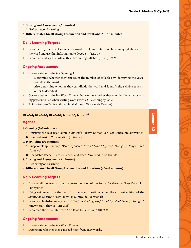- 3. **Closing and Assessment (2 minutes)**
- A. Reflecting on Learning
- 4. **Differentiated Small Group Instruction and Rotations (40–45 minutes)**

#### Daily Learning Targets

- I can identify the vowel sounds in a word to help me determine how many syllables are in the word and use that information to decode it. (RF.2.3)
- I can read and spell words with a C-le ending syllable. (RF.2.3, L.2.2)

#### Ongoing Assessment

- Observe students during Opening A.
	- Determine whether they can count the number of syllables by identifying the vowel sounds in the word.
	- Also determine whether they can divide the word and identify the syllable types in order to decode it.
- Observe students during Work Time A. Determine whether they can identify which spelling pattern to use when writing words with a C-le ending syllable.
- Exit ticket (see Differentiated Small Groups: Work with Teacher).

#### RF.2.3, RF.2.3c, RF.2.3d, RF.2.3e, RF.2.3f

#### Agenda

#### 1. **Opening (3–5 minutes)**

- A. Engagement Text Read-aloud: *Sunnyside Gazette* Edition 13: "Pest Control in Sunnyside" B. Comprehension Conversation (optional)
- 2. **Work Time (10 minutes)**
	- A. Snap or Trap: "we've," "I've," "you've," "even," "one," "guess," "tonight," "anywhere," "they've"
	- B. Decodable Reader: Partner Search and Read: "No Food to Be Found"
- 3. **Closing and Assessment (2 minutes)**
- A. Reflecting on Learning
- 4. **Differentiated Small Group Instruction and Rotations (40–45 minutes)**

#### Daily Learning Targets

- I can retell the events from the current edition of the *Sunnyside Gazette*: "Pest Control in Sunnyside."
- Using evidence from the text, I can answer questions about the current edition of the *Sunnyside Gazette*: "Pest Control in Sunnyside." (optional)
- I can read high-frequency words "I've," "we've," "guess," "one," "you've," "even," "tonight," "anywhere," "they've." (RF.2.3f)
- I can read the decodable text: "No Food to Be Found." (RF.2.3)

#### Ongoing Assessment

- Observe students during Work Time A.
- Determine whether they can read high-frequency words.

# Lesson 62 Lesson 62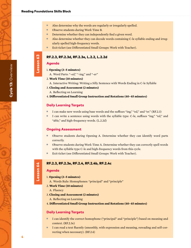- Also determine why the words are regularly or irregularly spelled.
- Observe students during Work Time B.
- Determine whether they can independently find a given word.
- Also determine whether they can decode words containing C-le syllable ending and irregularly spelled high-frequency words.
- Exit ticket (see Differentiated Small Groups: Work with Teacher).

# RF.2.3, RF.2.3d, RF.2.3e, L.2.2, L.2.2d

# Agenda

Lesson 63

- 1. **Opening (3–5 minutes)**
	- A. Word Parts: "-ed," "-ing," and "-er"
- 2. **Work Time (10 minutes)**
	- A. Interactive Writing: Writing a Silly Sentence with Words Ending in C-le Syllable
- 3. **Closing and Assessment (2 minutes)**
- A. Reflecting on Learning

#### 4. **Differentiated Small Group Instruction and Rotations (40–45 minutes)**

#### Daily Learning Targets

- I can make new words using base words and the suffixes "ing," "ed," and "er." (RF.2.3)
- I can write a sentence using words with the syllable type: C-le, suffixes "ing," "ed," and "able," and high-frequency words. (L.2.2d)

#### Ongoing Assessment

- Observe students during Opening A. Determine whether they can identify word parts correctly.
- Observe students during Work Time A. Determine whether they can correctly spell words with the syllable type C-le and high-frequency words from this cycle.
- Exit ticket (see Differentiated Small Groups: Work with Teacher).

# Lesson 64 Lesson 63 RF.2.3, RF.2.3e, RF.2.4, RF.2.4b, RF.2.4c Lesson 64

# Agenda

- 1. **Opening (3–5 minutes)**
	- A. Words Rule: Homophones: "principal" and "principle"
- 2. **Work Time (10 minutes)**
	- A. Fluency
- 3. **Closing and Assessment (2 minutes)**
	- A. Reflecting on Learning
- 4. **Differentiated Small Group Instruction and Rotations (40–45 minutes)**

#### Daily Learning Targets

- I can identify the correct homophone ("principal" and "principle") based on meaning and context. (RF.2.3e)
- I can read a text fluently (smoothly, with expression and meaning, rereading and self-correcting when necessary). (RF.2.4)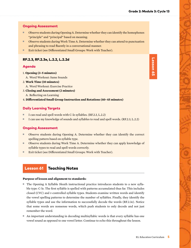# Ongoing Assessment

- Observe students during Opening A. Determine whether they can identify the homophones "principle" and "principal" based on meaning.
- Observe students during Work Time A. Determine whether they can attend to punctuation and phrasing to read fluently in a conversational manner.
- Exit ticket (see Differentiated Small Groups: Work with Teacher).

# RF.2.3, RF.2.3e, L.2.2, L.2.2d

#### Agenda

- 1. **Opening (3–5 minutes)**
	- A. Word Workout: Same Sounds
- 2. **Work Time (10 minutes)**
- A. Word Workout: Exercise Practice
- 3. **Closing and Assessment (2 minutes)**
	- A. Reflecting on Learning
- 4. **Differentiated Small Group Instruction and Rotations (40–45 minutes)**

#### Daily Learning Targets

- I can read and spell words with C-le syllables. (RF.2.3, L.2.2)
- I can use my knowledge of sounds and syllables to read and spell words. (RF.2.3, L.2.2)

#### Ongoing Assessment

- Observe students during Opening A. Determine whether they can identify the correct spelling pattern based on syllable type.
- Observe students during Work Time A. Determine whether they can apply knowledge of syllable types to read and spell words correctly.
- Exit ticket (see Differentiated Small Groups: Work with Teacher).

# Lesson 61 Teaching Notes

#### **Purpose of lesson and alignment to standards:**

- The Opening A Syllable Sleuth instructional practice introduces students to a new syllable type: C-le. The first syllable is spelled with patterns accumulated thus far. This includes closed (CVC) and r-controlled syllable types. Students examine written words and identify the vowel spelling patterns to determine the number of syllables. Finally, they identify the syllable types and use the information to successfully decode the words (RF.2.3e). Notice that some words are nonsense words, which push students to only decode and not just remember the word.
- An important understanding in decoding multisyllabic words is that every syllable has one vowel sound as opposed to one vowel letter. Continue to echo this throughout the lesson.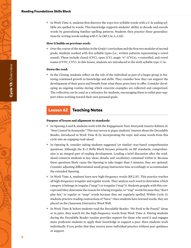■ In Work Time A, students first discover the ways two-syllable words with a C-le ending syllable are spelled in words. This knowledge supports students' ability to decode and encode words by generalizing familiar spelling patterns. Students then practice these generalizations by writing words ending with C-le (RF.2.3e, L.2.2d).

#### **How it builds on previous work:**

■ Over the course of the modules in the Grade 1 curriculum and the first two modules of second grade, students worked with five syllable types (i.e., written patterns representing a vowel sound). These include closed (CVC), open (CV), magic "e" (CVCe), r-controlled, and vowel teams (CVVC, CVV). In this lesson, students are introduced to the sixth syllable type: C-le.

#### **Down the road:**

■ In the Closing, students reflect on the role of the individual as part of a larger group in fostering continued growth in knowledge and skills. They consider how they can support the development of their peers and benefit from what those peers have to offer. Consider developing an ongoing routine during which concrete examples are collected and categorized. The collection can be used as a reference for students, encouraging them to enlist peer support when working toward their own personal goals.

# Lesson 62 Teaching Notes

#### **Purpose of lesson and alignment to standards:**

- In Opening A and B, students work with the Engagement Text: *Sunnyside Gazette* Edition 13: "Pest Control in Sunnyside." This text serves to pique students' interest about the Decodable Reader, introduced in Work Time B, by incorporating the topic and some words from this cycle into an engaging read-aloud.
- In Opening B, consider asking students suggested (or similar) text-based comprehension questions. Although the K–2 Skills Block focuses primarily on RF standards, comprehension is an integral part of reading development. Leading a brief discussion after the readaloud connects students to key ideas, details, and vocabulary contained within it. Because these questions likely cause the Opening to take longer than 5 minutes, they are optional. Consider adjusting differentiated small group instruction time accordingly to accommodate the extended Opening.
- In Work Time A, students learn new high-frequency words (RF.2.3f). This practice teaches all high-frequency irregular and regular words. They analyze each word to determine which category it belongs in (regular ("snap") or irregular ("trap")). Students grapple with this concept until they determine the reason for it being irregular, or "trap" words because they "don't play fair," or regular or "snap" words because they are regularly spelled. Within Cycle 13, students practice reading contractions of "have." Once students have learned words, they are placed on the classroom Interactive Word Wall.
- In Work Time B, before students read the Decodable Reader: "No Food to Be Found," alone or in pairs, they search for the high-frequency words from Work Time A. Pairing students during the Decodable Reader routine provides support for those who need it and engages more proficient students to apply their knowledge to support a peer. Have students work individually if you prefer that they receive more individual practice without peer guidance or support.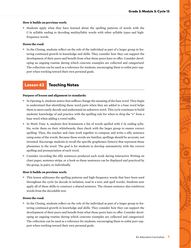#### **How it builds on previous work:**

■ Students apply what they have learned about the spelling patterns of words with the C-le syllable ending to decoding multisyllabic words with other syllable types and highfrequency words.

#### **Down the road:**

■ In the Closing, students reflect on the role of the individual as part of a larger group in fostering continued growth in knowledge and skills. They consider how they can support the development of their peers and benefit from what those peers have to offer. Consider developing an ongoing routine during which concrete examples are collected and categorized. The collection can be used as a reference for students, encouraging them to enlist peer support when working toward their own personal goals.

# Lesson 63 Teaching Notes

#### **Purpose of lesson and alignment to standards:**

- In Opening A, students notice that suffixes change the meaning of the base word. They begin to understand that identifying these word parts when they are added to a base word helps them to more easily decode and understand an unknown word. This cycle continues to build students' knowledge of and practice with the spelling rule for when to drop the "e" from a base word when adding a vowel suffix.
- In Work Time A, students first brainstorm a list of words spelled with C-le ending syllable, write them on their whiteboards, then check with the larger group to ensure correct spelling. Then, the teacher and class work together to compose and write a silly sentence using some of the words. Because these words are familiar, spellings should be accurate, not invented. Encourage students to recall the specific graphemes (letters) that represent those phonemes in the word. The goal is for students to develop automaticity with the correct spelling and pronunciation of each word.
- Consider recording the silly sentences produced each week during Interactive Writing on chart paper, sentence strips, or a book so those sentences can be displayed and practiced by the group, in pairs, or individually.

#### **How it builds on previous work:**

■ This lesson addresses the spelling patterns and high-frequency words that have been used throughout the cycle (to decode in isolation, read in a text, and spell words). Students now apply all of these skills to construct a shared sentence. The chosen sentence also reinforces words from the decodable text.

#### **Down the road:**

■ In the Closing, students reflect on the role of the individual as part of a larger group in fostering continued growth in knowledge and skills. They consider how they can support the development of their peers and benefit from what those peers have to offer. Consider developing an ongoing routine during which concrete examples are collected and categorized. The collection can be used as a reference for students, encouraging them to enlist peer support when working toward their own personal goals.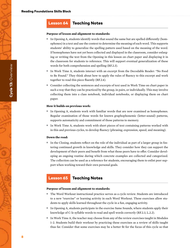# Lesson 64 Teaching Notes

#### **Purpose of lesson and alignment to standards:**

- In Opening A, students identify words that sound the same but are spelled differently (homophones) in a text and use the context to determine the meaning of each word. This supports students' ability to generalize the spelling pattern used based on the meaning of the word. If homophones have not yet been collected and displayed in the classroom, consider enlarging or writing the text from the Opening in this lesson on chart paper and displaying it in the classroom for students to reference. This will support eventual generalization of these words for both comprehension and spelling (RF.2.3).
- In Work Time A, students interact with an excerpt from the Decodable Reader: "No Food to Be Found." They think about how to apply the rules of fluency to this excerpt and work together to read this piece fluently (RF.2.4).
- Consider collecting the sentences and excerpts of text used in Work Time on chart paper in such a way that they can be practiced by the group, in pairs, or individually. This may involve collecting them into a class notebook, individual notebooks, or displaying them on chart paper.

#### **How it builds on previous work:**

- In Opening A, students work with familiar words that are now examined as homophones. Regular examination of those words for known graphophonemic (letter-sound) patterns, supports automaticity and commitment of those patterns to memory.
- In Work Time A, students work with short pieces of text containing patterns worked with in this and previous cycles, to develop fluency (phrasing, expression, speed, and meaning).

#### **Down the road:**

■ In the Closing, students reflect on the role of the individual as part of a larger group in fostering continued growth in knowledge and skills. They consider how they can support the development of their peers and benefit from what those peers have to offer. Consider developing an ongoing routine during which concrete examples are collected and categorized. The collection can be used as a reference for students, encouraging them to enlist peer support when working toward their own personal goals.

# Lesson 65 Teaching Notes

#### **Purpose of lesson and alignment to standards:**

- The Word Workout instructional practice serves as a cycle review. Students are introduced to a new "exercise" or learning activity in each Word Workout. These exercises allow students to apply skills learned throughout the cycle in a fun, engaging activity.
- In Opening A, students participate in the exercise Same Sounds, where students apply their knowledge of C-le syllable words to read and spell words correctly (RF.2.3, L.2.2).
- In Work Time A, the teacher may choose from any of the review exercises taught in Modules 1–2. Students build their workout by practicing these exercises as a review of skills taught thus far. Consider that some exercises may be a better fit for the focus of this cycle so that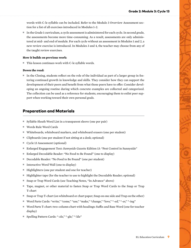words with C-le syllable can be included. Refer to the Module 3 Overview Assessment section for a list of all exercises introduced in Modules 1–2.

■ In the Grade 1 curriculum, a cycle assessment is administered for each cycle. In second grade, the assessments become more time-consuming. As a result, assessments are only administered at mid- and end of module. For each cycle without an assessment in Modules 1 and 2, a new review exercise is introduced. In Modules 3 and 4, the teacher may choose from any of the taught review exercises.

#### **How it builds on previous work:**

■ This lesson continues work with C-le syllable words.

#### **Down the road:**

■ In the Closing, students reflect on the role of the individual as part of a larger group in fostering continued growth in knowledge and skills. They consider how they can support the development of their peers and benefit from what those peers have to offer. Consider developing an ongoing routine during which concrete examples are collected and categorized. The collection can be used as a reference for students, encouraging them to enlist peer support when working toward their own personal goals.

# Preparation and Materials

- Syllable Sleuth Word List in a transparent sleeve (one per pair)
- Words Rule Word Cards
- Whiteboards, whiteboard markers, and whiteboard erasers (one per student)
- Clipboards (one per student if not sitting at a desk; optional)
- Cycle 13 Assessment (optional)
- Enlarged Engagement Text: *Sunnyside Gazette* Edition 13: "Pest Control in Sunnyside"
- Enlarged Decodable Reader: "No Food to Be Found" (one to display)
- Decodable Reader: "No Food to Be Found" (one per student)
- Interactive Word Wall (one to display)
- Highlighters (one per student and one for teacher)
- Highlighter tape (for the teacher to use to highlight the Decodable Reader; optional)
- Snap or Trap Word Cards (see Teaching Notes, "In Advance" above)
- Tape, magnet, or other material to fasten Snap or Trap Word Cards to the Snap or Trap T-chart
- Snap or Trap T-chart (on whiteboard or chart paper; Snap on one side and Trap on the other)
- Word Parts Cards: "write," "come," "use," "make," "change," "love," "-ed," "-er," "-ing"
- Word Parts T-chart: two-column chart with headings: Suffix and Base Word (one for teacher display)
- Spelling Pattern Cards: "-zle," "-gle," "-kle"